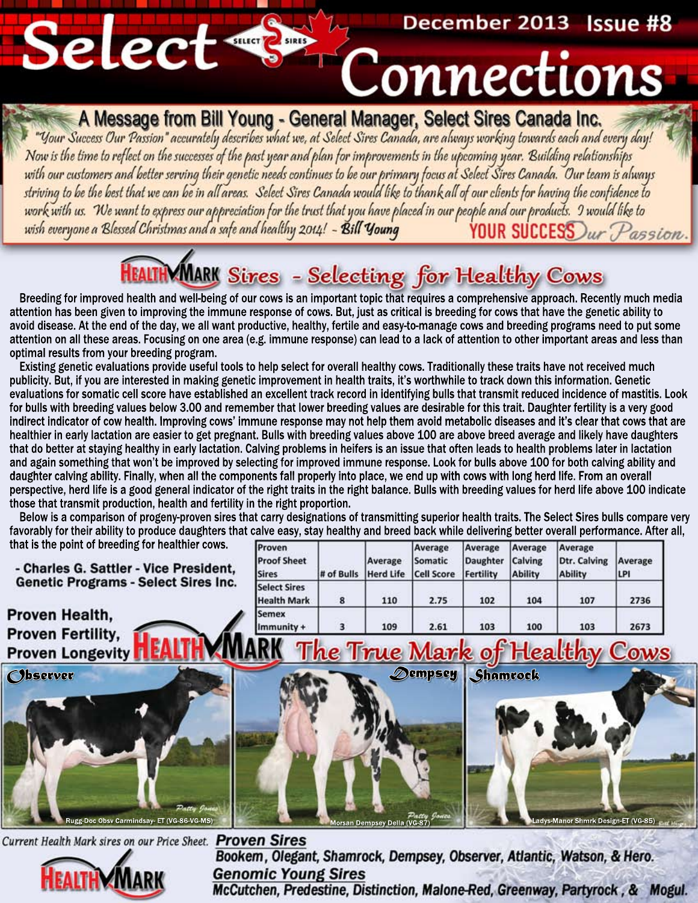### December 2013 Issue #8

## Connections

A Message from Bill Young - General Manager, Select Sires Canada Inc.<br>"Your Success Our Passion" accurately describes what we, at Select Sires Canada, are always working towards each and every day! Now is the time to reflect on the successes of the past year and plan for improvements in the upcoming year. Building relationships<br>with our customers and better serving their genetic needs continues to be our primary focu work with us. We want to express our appreciation for the trust that you have placed in our people and our products. 9 would like to<br>wish everyone a Blessed Christmas and a safe and healthy 2014! - Bill Young YOUR SUCCESS YOUR SUCCESS Dur Passion.

### **HEALTHMMARK** Sires - Selecting for Healthy Cows

Breeding for improved health and well-being of our cows is an important topic that requires a comprehensive approach. Recently much media attention has been given to improving the immune response of cows. But, just as critical is breeding for cows that have the genetic ability to avoid disease. At the end of the day, we all want productive, healthy, fertile and easy-to-manage cows and breeding programs need to put some attention on all these areas. Focusing on one area (e.g. immune response) can lead to a lack of attention to other important areas and less than optimal results from your breeding program.

Existing genetic evaluations provide useful tools to help select for overall healthy cows. Traditionally these traits have not received much publicity. But, if you are interested in making genetic improvement in health traits, it's worthwhile to track down this information. Genetic evaluations for somatic cell score have established an excellent track record in identifying bulls that transmit reduced incidence of mastitis. Look for bulls with breeding values below 3.00 and remember that lower breeding values are desirable for this trait. Daughter fertility is a very good indirect indicator of cow health. Improving cows' immune response may not help them avoid metabolic diseases and it's clear that cows that are healthier in early lactation are easier to get pregnant. Bulls with breeding values above 100 are above breed average and likely have daughters that do better at staying healthy in early lactation. Calving problems in heifers is an issue that often leads to health problems later in lactation and again something that won't be improved by selecting for improved immune response. Look for bulls above 100 for both calving ability and daughter calving ability. Finally, when all the components fall properly into place, we end up with cows with long herd life. From an overall perspective, herd life is a good general indicator of the right traits in the right balance. Bulls with breeding values for herd life above 100 indicate those that transmit production, health and fertility in the right proportion.

Below is a comparison of progeny-proven sires that carry designations of transmitting superior health traits. The Select Sires bulls compare very favorably for their ability to produce daughters that calve easy, stay healthy and breed back while delivering better overall performance. After all, that is the p

| oint of breeding for healthier cows.<br>s G. Sattler - Vice President,<br><b>Programs - Select Sires Inc.</b> | Proven<br><b>Proof Sheet</b><br><b>Sires</b> | # of Bulls | Average | Average<br>Somatic<br>Herd Life Cell Score | Average<br>Daughter<br>Fertility | Average<br>Calving<br><b>Ability</b> | Average<br>Dtr. Calving<br><b>Ability</b> | Average<br> LPI |
|---------------------------------------------------------------------------------------------------------------|----------------------------------------------|------------|---------|--------------------------------------------|----------------------------------|--------------------------------------|-------------------------------------------|-----------------|
|                                                                                                               | <b>Select Sires</b><br><b>Health Mark</b>    | 8          | 110     | 2.75                                       | 102                              | 104                                  | 107                                       | 2736            |
| lealth,<br>Fertility,                                                                                         | <b>Semex</b><br>$\lim$ munity +              |            | 109     | 2.61                                       | 103                              | 100                                  | 103                                       | 2673            |
|                                                                                                               |                                              | æ          |         |                                            |                                  | $\sim$ $\sim$                        | <b>II.I</b>                               | ⌒               |

Morsan Dempsey Della (VG-87)

*Observer* Rugg-Doc Obsv Carmindsay- ET (VG-86-VG-MS)

- Charles **Genetic** 

Proven | **Proven** I

**Proven Longevity** 

Select S

*D empsey Shamrock*



**Fleshigvy** 

Current Health Mark sires on our Price Sheet. Proven Sires Bookem, Olegant, Shamrock, Dempsey, Observer, Atlantic, Watson, & Hero.



**Genomic Young Sires** McCutchen, Predestine, Distinction, Malone-Red, Greenway, Partyrock, & Mogul.